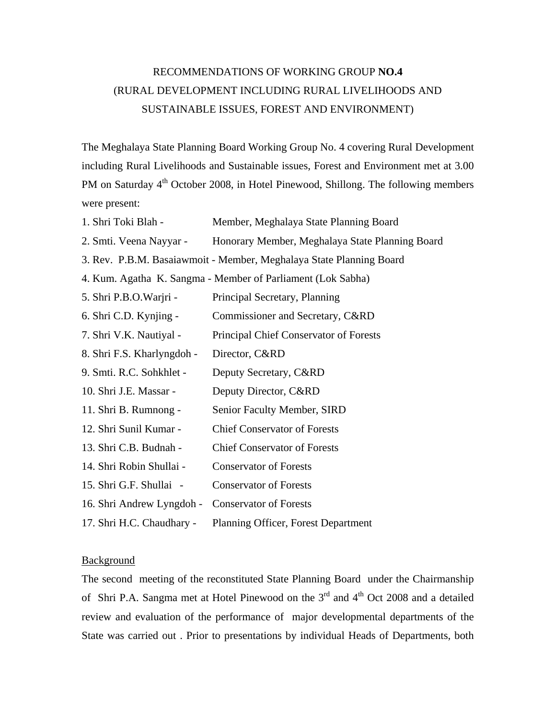## RECOMMENDATIONS OF WORKING GROUP **NO.4**  (RURAL DEVELOPMENT INCLUDING RURAL LIVELIHOODS AND SUSTAINABLE ISSUES, FOREST AND ENVIRONMENT)

The Meghalaya State Planning Board Working Group No. 4 covering Rural Development including Rural Livelihoods and Sustainable issues, Forest and Environment met at 3.00 PM on Saturday  $4<sup>th</sup>$  October 2008, in Hotel Pinewood, Shillong. The following members were present:

- 1. Shri Toki Blah Member, Meghalaya State Planning Board
- 2. Smti. Veena Nayyar Honorary Member, Meghalaya State Planning Board
- 3. Rev. P.B.M. Basaiawmoit Member, Meghalaya State Planning Board
- 4. Kum. Agatha K. Sangma Member of Parliament (Lok Sabha)
- 5. Shri P.B.O.Warjri Principal Secretary, Planning 6. Shri C.D. Kynjing - Commissioner and Secretary, C&RD 7. Shri V.K. Nautiyal - Principal Chief Conservator of Forests 8. Shri F.S. Kharlyngdoh - Director, C&RD 9. Smti. R.C. Sohkhlet - Deputy Secretary, C&RD 10. Shri J.E. Massar - Deputy Director, C&RD 11. Shri B. Rumnong - Senior Faculty Member, SIRD 12. Shri Sunil Kumar - Chief Conservator of Forests 13. Shri C.B. Budnah - Chief Conservator of Forests 14. Shri Robin Shullai - Conservator of Forests 15. Shri G.F. Shullai - Conservator of Forests 16. Shri Andrew Lyngdoh - Conservator of Forests 17. Shri H.C. Chaudhary - Planning Officer, Forest Department

## Background

The second meeting of the reconstituted State Planning Board under the Chairmanship of Shri P.A. Sangma met at Hotel Pinewood on the  $3<sup>rd</sup>$  and  $4<sup>th</sup>$  Oct 2008 and a detailed review and evaluation of the performance of major developmental departments of the State was carried out . Prior to presentations by individual Heads of Departments, both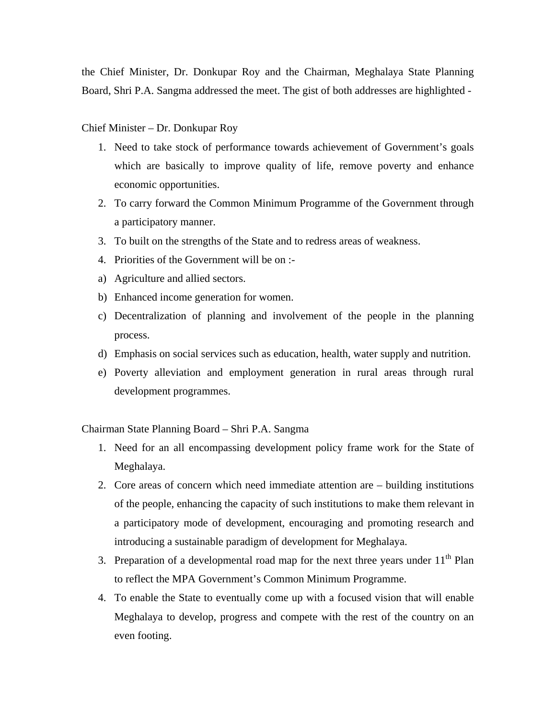the Chief Minister, Dr. Donkupar Roy and the Chairman, Meghalaya State Planning Board, Shri P.A. Sangma addressed the meet. The gist of both addresses are highlighted -

## Chief Minister – Dr. Donkupar Roy

- 1. Need to take stock of performance towards achievement of Government's goals which are basically to improve quality of life, remove poverty and enhance economic opportunities.
- 2. To carry forward the Common Minimum Programme of the Government through a participatory manner.
- 3. To built on the strengths of the State and to redress areas of weakness.
- 4. Priorities of the Government will be on :-
- a) Agriculture and allied sectors.
- b) Enhanced income generation for women.
- c) Decentralization of planning and involvement of the people in the planning process.
- d) Emphasis on social services such as education, health, water supply and nutrition.
- e) Poverty alleviation and employment generation in rural areas through rural development programmes.

Chairman State Planning Board – Shri P.A. Sangma

- 1. Need for an all encompassing development policy frame work for the State of Meghalaya.
- 2. Core areas of concern which need immediate attention are building institutions of the people, enhancing the capacity of such institutions to make them relevant in a participatory mode of development, encouraging and promoting research and introducing a sustainable paradigm of development for Meghalaya.
- 3. Preparation of a developmental road map for the next three years under  $11<sup>th</sup>$  Plan to reflect the MPA Government's Common Minimum Programme.
- 4. To enable the State to eventually come up with a focused vision that will enable Meghalaya to develop, progress and compete with the rest of the country on an even footing.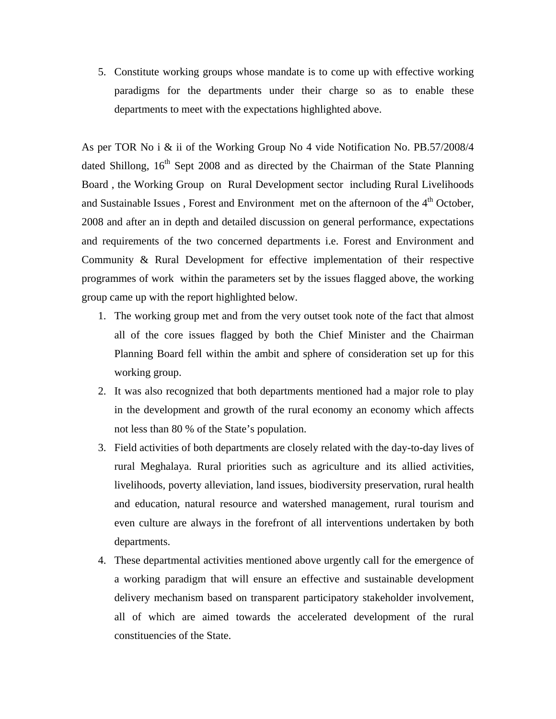5. Constitute working groups whose mandate is to come up with effective working paradigms for the departments under their charge so as to enable these departments to meet with the expectations highlighted above.

As per TOR No i & ii of the Working Group No 4 vide Notification No. PB.57/2008/4 dated Shillong,  $16<sup>th</sup>$  Sept 2008 and as directed by the Chairman of the State Planning Board , the Working Group on Rural Development sector including Rural Livelihoods and Sustainable Issues, Forest and Environment met on the afternoon of the  $4<sup>th</sup>$  October, 2008 and after an in depth and detailed discussion on general performance, expectations and requirements of the two concerned departments i.e. Forest and Environment and Community & Rural Development for effective implementation of their respective programmes of work within the parameters set by the issues flagged above, the working group came up with the report highlighted below.

- 1. The working group met and from the very outset took note of the fact that almost all of the core issues flagged by both the Chief Minister and the Chairman Planning Board fell within the ambit and sphere of consideration set up for this working group.
- 2. It was also recognized that both departments mentioned had a major role to play in the development and growth of the rural economy an economy which affects not less than 80 % of the State's population.
- 3. Field activities of both departments are closely related with the day-to-day lives of rural Meghalaya. Rural priorities such as agriculture and its allied activities, livelihoods, poverty alleviation, land issues, biodiversity preservation, rural health and education, natural resource and watershed management, rural tourism and even culture are always in the forefront of all interventions undertaken by both departments.
- 4. These departmental activities mentioned above urgently call for the emergence of a working paradigm that will ensure an effective and sustainable development delivery mechanism based on transparent participatory stakeholder involvement, all of which are aimed towards the accelerated development of the rural constituencies of the State.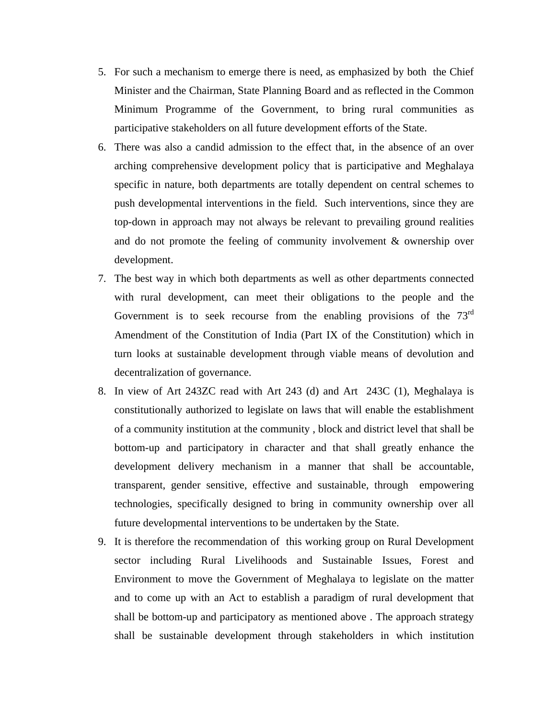- 5. For such a mechanism to emerge there is need, as emphasized by both the Chief Minister and the Chairman, State Planning Board and as reflected in the Common Minimum Programme of the Government, to bring rural communities as participative stakeholders on all future development efforts of the State.
- 6. There was also a candid admission to the effect that, in the absence of an over arching comprehensive development policy that is participative and Meghalaya specific in nature, both departments are totally dependent on central schemes to push developmental interventions in the field. Such interventions, since they are top-down in approach may not always be relevant to prevailing ground realities and do not promote the feeling of community involvement & ownership over development.
- 7. The best way in which both departments as well as other departments connected with rural development, can meet their obligations to the people and the Government is to seek recourse from the enabling provisions of the  $73<sup>rd</sup>$ Amendment of the Constitution of India (Part IX of the Constitution) which in turn looks at sustainable development through viable means of devolution and decentralization of governance.
- 8. In view of Art 243ZC read with Art 243 (d) and Art 243C (1), Meghalaya is constitutionally authorized to legislate on laws that will enable the establishment of a community institution at the community , block and district level that shall be bottom-up and participatory in character and that shall greatly enhance the development delivery mechanism in a manner that shall be accountable, transparent, gender sensitive, effective and sustainable, through empowering technologies, specifically designed to bring in community ownership over all future developmental interventions to be undertaken by the State.
- 9. It is therefore the recommendation of this working group on Rural Development sector including Rural Livelihoods and Sustainable Issues, Forest and Environment to move the Government of Meghalaya to legislate on the matter and to come up with an Act to establish a paradigm of rural development that shall be bottom-up and participatory as mentioned above . The approach strategy shall be sustainable development through stakeholders in which institution